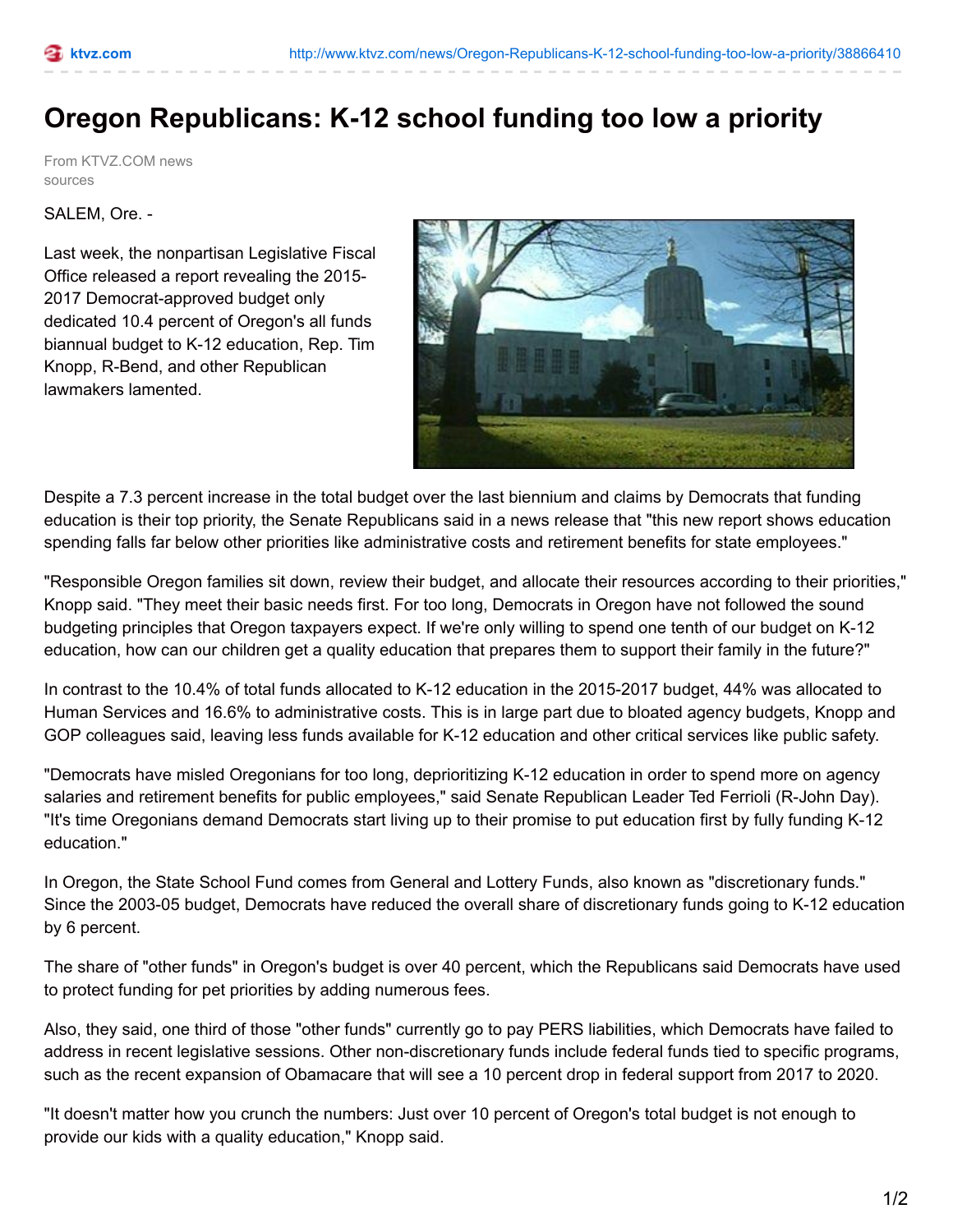## **Oregon Republicans: K-12 school funding too low a priority**

From KTVZ.COM news sources

SALEM, Ore. -

Last week, the nonpartisan Legislative Fiscal Office released a report revealing the 2015- 2017 Democrat-approved budget only dedicated 10.4 percent of Oregon's all funds biannual budget to K-12 education, Rep. Tim Knopp, R-Bend, and other Republican lawmakers lamented.



Despite a 7.3 percent increase in the total budget over the last biennium and claims by Democrats that funding education is their top priority, the Senate Republicans said in a news release that "this new report shows education spending falls far below other priorities like administrative costs and retirement benefits for state employees."

"Responsible Oregon families sit down, review their budget, and allocate their resources according to their priorities," Knopp said. "They meet their basic needs first. For too long, Democrats in Oregon have not followed the sound budgeting principles that Oregon taxpayers expect. If we're only willing to spend one tenth of our budget on K-12 education, how can our children get a quality education that prepares them to support their family in the future?"

In contrast to the 10.4% of total funds allocated to K-12 education in the 2015-2017 budget, 44% was allocated to Human Services and 16.6% to administrative costs. This is in large part due to bloated agency budgets, Knopp and GOP colleagues said, leaving less funds available for K-12 education and other critical services like public safety.

"Democrats have misled Oregonians for too long, deprioritizing K-12 education in order to spend more on agency salaries and retirement benefits for public employees," said Senate Republican Leader Ted Ferrioli (R-John Day). "It's time Oregonians demand Democrats start living up to their promise to put education first by fully funding K-12 education."

In Oregon, the State School Fund comes from General and Lottery Funds, also known as "discretionary funds." Since the 2003-05 budget, Democrats have reduced the overall share of discretionary funds going to K-12 education by 6 percent.

The share of "other funds" in Oregon's budget is over 40 percent, which the Republicans said Democrats have used to protect funding for pet priorities by adding numerous fees.

Also, they said, one third of those "other funds" currently go to pay PERS liabilities, which Democrats have failed to address in recent legislative sessions. Other non-discretionary funds include federal funds tied to specific programs, such as the recent expansion of Obamacare that will see a 10 percent drop in federal support from 2017 to 2020.

"It doesn't matter how you crunch the numbers: Just over 10 percent of Oregon's total budget is not enough to provide our kids with a quality education," Knopp said.